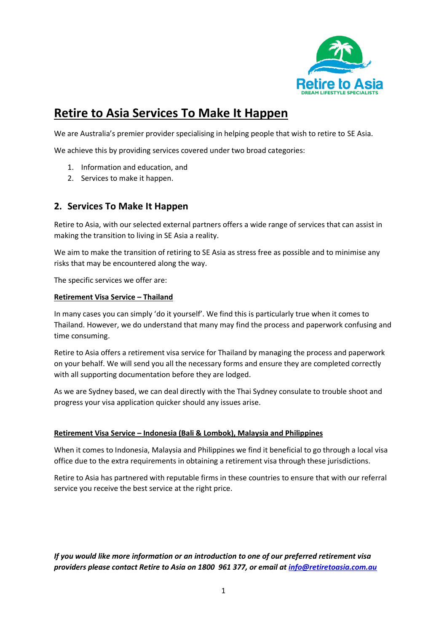

# **Retire to Asia Services To Make It Happen**

We are Australia's premier provider specialising in helping people that wish to retire to SE Asia.

We achieve this by providing services covered under two broad categories:

- 1. Information and education, and
- 2. Services to make it happen.

# **2. Services To Make It Happen**

Retire to Asia, with our selected external partners offers a wide range of services that can assist in making the transition to living in SE Asia a reality.

We aim to make the transition of retiring to SE Asia as stress free as possible and to minimise any risks that may be encountered along the way.

The specific services we offer are:

#### **Retirement Visa Service – Thailand**

In many cases you can simply 'do it yourself'. We find this is particularly true when it comes to Thailand. However, we do understand that many may find the process and paperwork confusing and time consuming.

Retire to Asia offers a retirement visa service for Thailand by managing the process and paperwork on your behalf. We will send you all the necessary forms and ensure they are completed correctly with all supporting documentation before they are lodged.

As we are Sydney based, we can deal directly with the Thai Sydney consulate to trouble shoot and progress your visa application quicker should any issues arise.

## **Retirement Visa Service – Indonesia (Bali & Lombok), Malaysia and Philippines**

When it comes to Indonesia, Malaysia and Philippines we find it beneficial to go through a local visa office due to the extra requirements in obtaining a retirement visa through these jurisdictions.

Retire to Asia has partnered with reputable firms in these countries to ensure that with our referral service you receive the best service at the right price.

*If you would like more information or an introduction to one of our preferred retirement visa providers please contact Retire to Asia on 1800 961 377, or email at [info@retiretoasia.com.au](mailto:info@retiretoasia.com.au)*